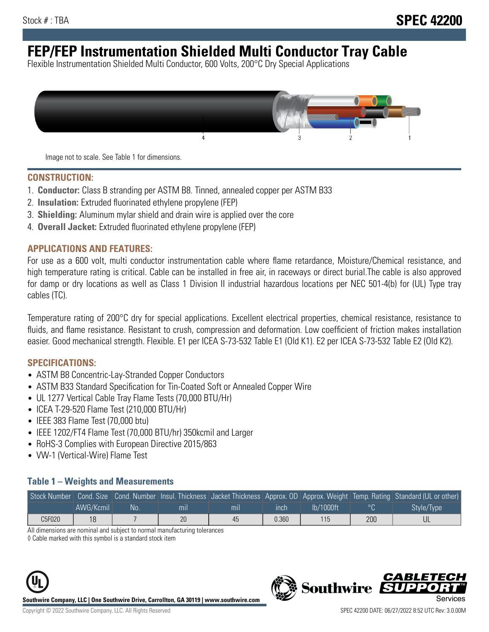# **FEP/FEP Instrumentation Shielded Multi Conductor Tray Cable**

Flexible Instrumentation Shielded Multi Conductor, 600 Volts, 200°C Dry Special Applications



Image not to scale. See Table 1 for dimensions.

#### **CONSTRUCTION:**

- 1. **Conductor:** Class B stranding per ASTM B8. Tinned, annealed copper per ASTM B33
- 2. **Insulation:** Extruded fluorinated ethylene propylene (FEP)
- 3. **Shielding:** Aluminum mylar shield and drain wire is applied over the core
- 4. **Overall Jacket:** Extruded fluorinated ethylene propylene (FEP)

#### **APPLICATIONS AND FEATURES:**

For use as a 600 volt, multi conductor instrumentation cable where flame retardance, Moisture/Chemical resistance, and high temperature rating is critical. Cable can be installed in free air, in raceways or direct burial.The cable is also approved for damp or dry locations as well as Class 1 Division II industrial hazardous locations per NEC 501-4(b) for (UL) Type tray cables (TC).

Temperature rating of 200°C dry for special applications. Excellent electrical properties, chemical resistance, resistance to fluids, and flame resistance. Resistant to crush, compression and deformation. Low coefficient of friction makes installation easier. Good mechanical strength. Flexible. E1 per ICEA S-73-532 Table E1 (Old K1). E2 per ICEA S-73-532 Table E2 (Old K2).

#### **SPECIFICATIONS:**

- ASTM B8 Concentric-Lay-Stranded Copper Conductors
- ASTM B33 Standard Specification for Tin-Coated Soft or Annealed Copper Wire
- UL 1277 Vertical Cable Tray Flame Tests (70,000 BTU/Hr)
- ICEA T-29-520 Flame Test (210,000 BTU/Hr)
- IEEE 383 Flame Test (70,000 btu)
- IEEE 1202/FT4 Flame Test (70,000 BTU/hr) 350kcmil and Larger
- RoHS-3 Complies with European Directive 2015/863
- VW-1 (Vertical-Wire) Flame Test

#### **Table 1 – Weights and Measurements**

|        |           |      |                |     |       |           |     | Stock Number Cond. Size Cond. Number Insul. Thickness Jacket Thickness Approx. OD Approx. Weight Temp. Rating Standard (UL or other) |
|--------|-----------|------|----------------|-----|-------|-----------|-----|--------------------------------------------------------------------------------------------------------------------------------------|
|        | AWG/Kcmil | .No: | m <sub>l</sub> | mıl | ınch  | lb/1000ft | ∣∘u | Style/Type                                                                                                                           |
| C5F020 | 18        |      | 20             | 45  | 0.360 | 115       | 200 |                                                                                                                                      |

All dimensions are nominal and subject to normal manufacturing tolerances

◊ Cable marked with this symbol is a standard stock item



**Southwire** 

CARLET